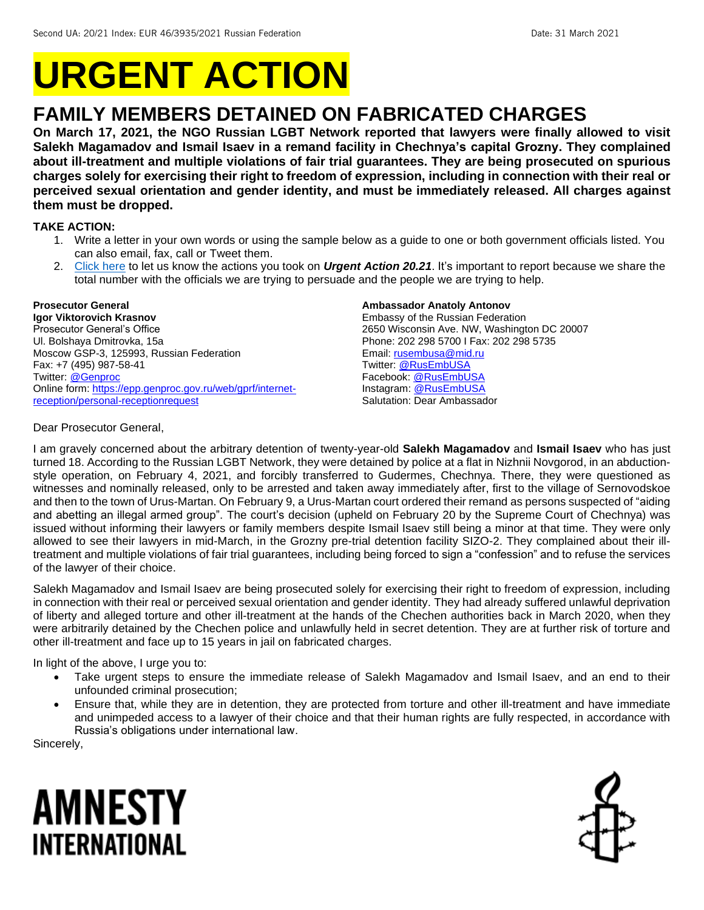# **URGENT ACTION**

## **FAMILY MEMBERS DETAINED ON FABRICATED CHARGES**

**On March 17, 2021, the NGO Russian LGBT Network reported that lawyers were finally allowed to visit Salekh Magamadov and Ismail Isaev in a remand facility in Chechnya's capital Grozny. They complained about ill-treatment and multiple violations of fair trial guarantees. They are being prosecuted on spurious charges solely for exercising their right to freedom of expression, including in connection with their real or perceived sexual orientation and gender identity, and must be immediately released. All charges against them must be dropped.**

#### **TAKE ACTION:**

- 1. Write a letter in your own words or using the sample below as a guide to one or both government officials listed. You can also email, fax, call or Tweet them.
- 2. [Click here](https://www.amnestyusa.org/report-urgent-actions/) to let us know the actions you took on *Urgent Action 20.21*. It's important to report because we share the total number with the officials we are trying to persuade and the people we are trying to help.

#### **Prosecutor General**

**Igor Viktorovich Krasnov** Prosecutor General's Office Ul. Bolshaya Dmitrovka, 15a Moscow GSP-3, 125993, Russian Federation Fax: +7 (495) 987-58-41 Twitter: [@Genproc](https://twitter.com/genproc) Online form[: https://epp.genproc.gov.ru/web/gprf/internet](https://epp.genproc.gov.ru/web/gprf/internet-reception/personal-receptionrequest)[reception/personal-receptionrequest](https://epp.genproc.gov.ru/web/gprf/internet-reception/personal-receptionrequest)

#### **Ambassador Anatoly Antonov**

Embassy of the Russian Federation 2650 Wisconsin Ave. NW, Washington DC 20007 Phone: 202 298 5700 I Fax: 202 298 5735 Email[: rusembusa@mid.ru](mailto:rusembusa@mid.ru) Twitter: [@RusEmbUSA](https://twitter.com/rusembusa) Facebook[: @RusEmbUSA](https://www.facebook.com/RusEmbUSA/) Instagram: [@RusEmbUSA](https://www.instagram.com/rusembusa/) Salutation: Dear Ambassador

#### Dear Prosecutor General,

I am gravely concerned about the arbitrary detention of twenty-year-old **Salekh Magamadov** and **Ismail Isaev** who has just turned 18. According to the Russian LGBT Network, they were detained by police at a flat in Nizhnii Novgorod, in an abductionstyle operation, on February 4, 2021, and forcibly transferred to Gudermes, Chechnya. There, they were questioned as witnesses and nominally released, only to be arrested and taken away immediately after, first to the village of Sernovodskoe and then to the town of Urus-Martan. On February 9, a Urus-Martan court ordered their remand as persons suspected of "aiding and abetting an illegal armed group". The court's decision (upheld on February 20 by the Supreme Court of Chechnya) was issued without informing their lawyers or family members despite Ismail Isaev still being a minor at that time. They were only allowed to see their lawyers in mid-March, in the Grozny pre-trial detention facility SIZO-2. They complained about their illtreatment and multiple violations of fair trial guarantees, including being forced to sign a "confession" and to refuse the services of the lawyer of their choice.

Salekh Magamadov and Ismail Isaev are being prosecuted solely for exercising their right to freedom of expression, including in connection with their real or perceived sexual orientation and gender identity. They had already suffered unlawful deprivation of liberty and alleged torture and other ill-treatment at the hands of the Chechen authorities back in March 2020, when they were arbitrarily detained by the Chechen police and unlawfully held in secret detention. They are at further risk of torture and other ill-treatment and face up to 15 years in jail on fabricated charges.

In light of the above, I urge you to:

- Take urgent steps to ensure the immediate release of Salekh Magamadov and Ismail Isaev, and an end to their unfounded criminal prosecution;
- Ensure that, while they are in detention, they are protected from torture and other ill-treatment and have immediate and unimpeded access to a lawyer of their choice and that their human rights are fully respected, in accordance with Russia's obligations under international law.

Sincerely,